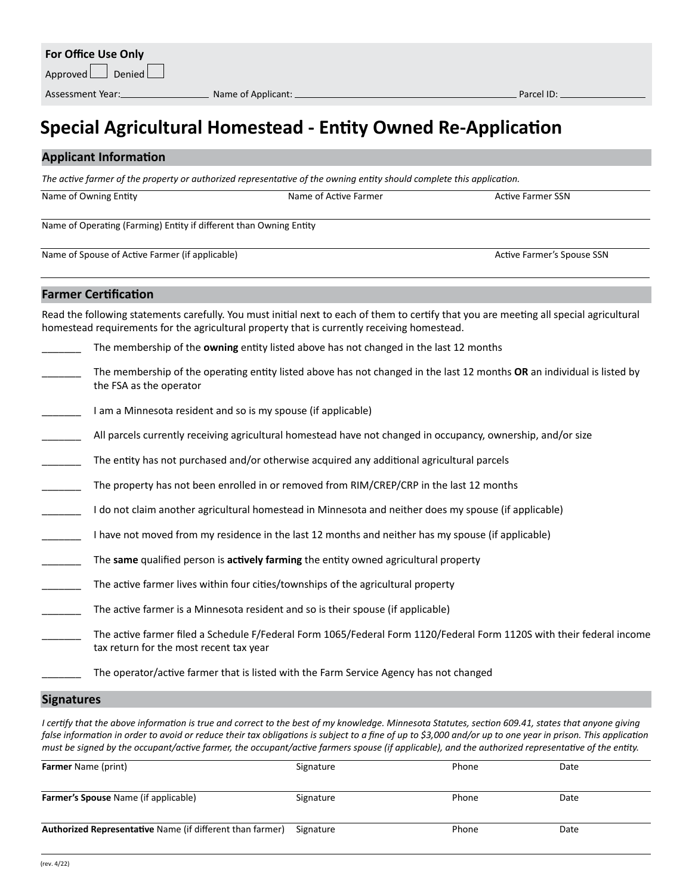## **Special Agricultural Homestead - Entity Owned Re-Application**

#### **Applicant Information**

*The active farmer of the property or authorized representative of the owning entity should complete this application.*

Name of Owning Entity **Name of Active Farmer SSN** Name of Active Farmer **Active Farmer Active Farmer SSN** 

**Farmer Certification**

Name of Operating (Farming) Entity if different than Owning Entity

Name of Spouse of Active Farmer (if applicable) and the Community Community Community Active Farmer's Spouse SSN

Read the following statements carefully. You must initial next to each of them to certify that you are meeting all special agricultural homestead requirements for the agricultural property that is currently receiving homestead. \_\_\_\_\_\_\_ The membership of the **owning** entity listed above has not changed in the last 12 months \_\_\_\_\_\_\_ The membership of the operating entity listed above has not changed in the last 12 months **OR** an individual is listed by the FSA as the operator I am a Minnesota resident and so is my spouse (if applicable) All parcels currently receiving agricultural homestead have not changed in occupancy, ownership, and/or size The entity has not purchased and/or otherwise acquired any additional agricultural parcels The property has not been enrolled in or removed from RIM/CREP/CRP in the last 12 months \_\_\_\_\_\_\_ I do not claim another agricultural homestead in Minnesota and neither does my spouse (if applicable) I have not moved from my residence in the last 12 months and neither has my spouse (if applicable) \_\_\_\_\_\_\_ The **same** qualified person is **actively farming** the entity owned agricultural property The active farmer lives within four cities/townships of the agricultural property The active farmer is a Minnesota resident and so is their spouse (if applicable) The active farmer filed a Schedule F/Federal Form 1065/Federal Form 1120/Federal Form 1120S with their federal income tax return for the most recent tax year The operator/active farmer that is listed with the Farm Service Agency has not changed

#### **Signatures**

*I certify that the above information is true and correct to the best of my knowledge. Minnesota Statutes, section 609.41, states that anyone giving* false information in order to avoid or reduce their tax obligations is subject to a fine of up to \$3,000 and/or up to one year in prison. This application *must be signed by the occupant/active farmer, the occupant/active farmers spouse (if applicable), and the authorized representative of the entity.* 

| <b>Farmer Name (print)</b>                                | Signature | Phone | Date |
|-----------------------------------------------------------|-----------|-------|------|
| <b>Farmer's Spouse Name (if applicable)</b>               | Signature | Phone | Date |
| Authorized Representative Name (if different than farmer) | Signature | Phone | Date |